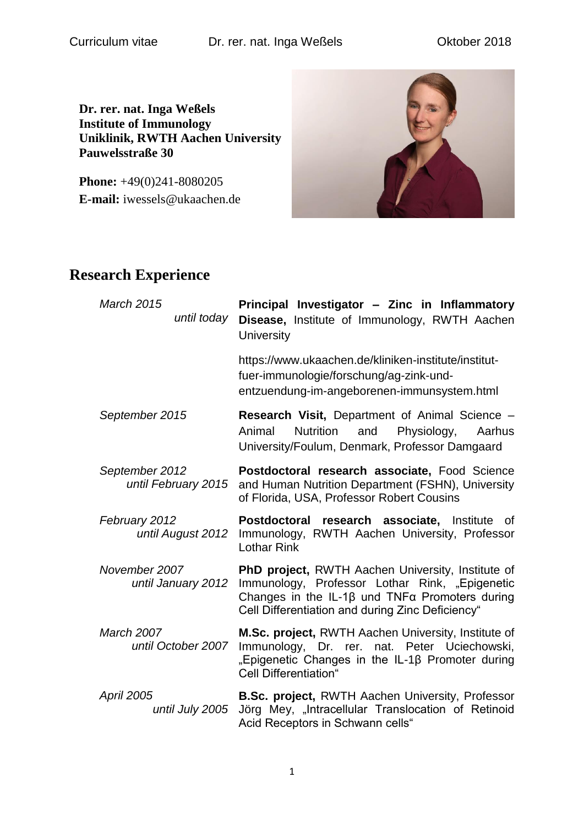**Dr. rer. nat. Inga Weßels Institute of Immunology Uniklinik, RWTH Aachen University Pauwelsstraße 30**

**Phone:**  $+49(0)241-8080205$ **E-mail:** iwessels@ukaachen.de



#### **Research Experience**

| <b>March 2015</b><br>until today        | Principal Investigator - Zinc in Inflammatory<br>Disease, Institute of Immunology, RWTH Aachen<br>University                                                                                                                    |
|-----------------------------------------|---------------------------------------------------------------------------------------------------------------------------------------------------------------------------------------------------------------------------------|
|                                         | https://www.ukaachen.de/kliniken-institute/institut-<br>fuer-immunologie/forschung/ag-zink-und-<br>entzuendung-im-angeborenen-immunsystem.html                                                                                  |
| September 2015                          | <b>Research Visit, Department of Animal Science –</b><br>Animal<br><b>Nutrition</b><br>Physiology,<br>and<br>Aarhus<br>University/Foulum, Denmark, Professor Damgaard                                                           |
| September 2012<br>until February 2015   | Postdoctoral research associate, Food Science<br>and Human Nutrition Department (FSHN), University<br>of Florida, USA, Professor Robert Cousins                                                                                 |
| February 2012<br>until August 2012      | Postdoctoral research associate, Institute<br>of<br>Immunology, RWTH Aachen University, Professor<br><b>Lothar Rink</b>                                                                                                         |
| November 2007<br>until January 2012     | <b>PhD project, RWTH Aachen University, Institute of</b><br>Immunology, Professor Lothar Rink, "Epigenetic<br>Changes in the IL-1 $\beta$ und TNF $\alpha$ Promoters during<br>Cell Differentiation and during Zinc Deficiency" |
| <b>March 2007</b><br>until October 2007 | M.Sc. project, RWTH Aachen University, Institute of<br>Immunology, Dr. rer. nat. Peter Uciechowski,<br>"Epigenetic Changes in the IL-1β Promoter during<br><b>Cell Differentiation"</b>                                         |
| <b>April 2005</b><br>until July 2005    | <b>B.Sc. project, RWTH Aachen University, Professor</b><br>Jörg Mey, "Intracellular Translocation of Retinoid<br>Acid Receptors in Schwann cells"                                                                               |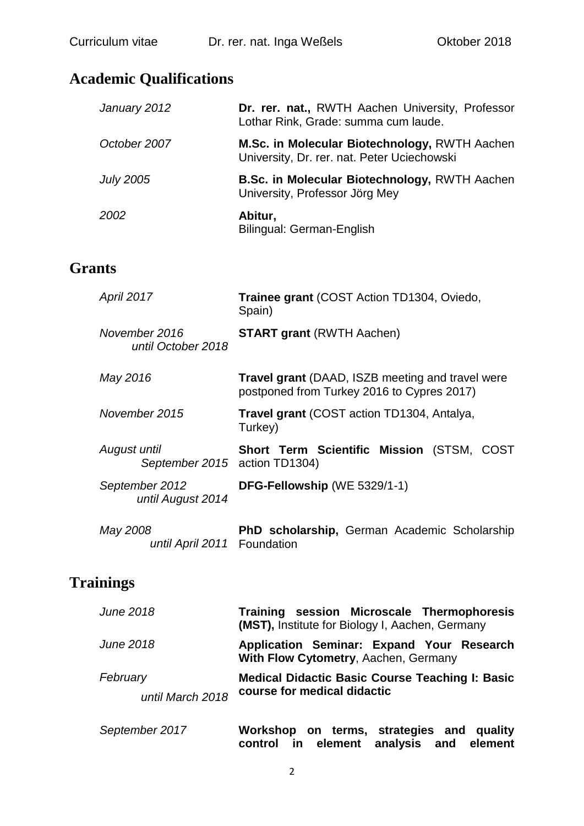## **Academic Qualifications**

| January 2012     | Dr. rer. nat., RWTH Aachen University, Professor<br>Lothar Rink, Grade: summa cum laude.     |
|------------------|----------------------------------------------------------------------------------------------|
| October 2007     | M.Sc. in Molecular Biotechnology, RWTH Aachen<br>University, Dr. rer. nat. Peter Uciechowski |
| <b>July 2005</b> | <b>B.Sc. in Molecular Biotechnology, RWTH Aachen</b><br>University, Professor Jörg Mey       |
| 2002             | Abitur,<br>Bilingual: German-English                                                         |

#### **Grants**

| <b>April 2017</b>                             | Trainee grant (COST Action TD1304, Oviedo,<br>Spain)                                                  |
|-----------------------------------------------|-------------------------------------------------------------------------------------------------------|
| November 2016<br>until October 2018           | <b>START grant (RWTH Aachen)</b>                                                                      |
| May 2016                                      | <b>Travel grant</b> (DAAD, ISZB meeting and travel were<br>postponed from Turkey 2016 to Cypres 2017) |
| November 2015                                 | Travel grant (COST action TD1304, Antalya,<br>Turkey)                                                 |
| August until<br>September 2015 action TD1304) | <b>Short Term Scientific Mission (STSM, COST)</b>                                                     |
| September 2012<br>until August 2014           | DFG-Fellowship (WE 5329/1-1)                                                                          |
| May 2008<br>until April 2011 Foundation       | <b>PhD scholarship, German Academic Scholarship</b>                                                   |

### **Trainings**

| June 2018                    | Training session Microscale Thermophoresis<br><b>(MST), Institute for Biology I, Aachen, Germany</b> |
|------------------------------|------------------------------------------------------------------------------------------------------|
| June 2018                    | Application Seminar: Expand Your Research<br>With Flow Cytometry, Aachen, Germany                    |
| February<br>until March 2018 | <b>Medical Didactic Basic Course Teaching I: Basic</b><br>course for medical didactic                |

| September 2017 |  |  | Workshop on terms, strategies and quality |  |
|----------------|--|--|-------------------------------------------|--|
|                |  |  | control in element analysis and element   |  |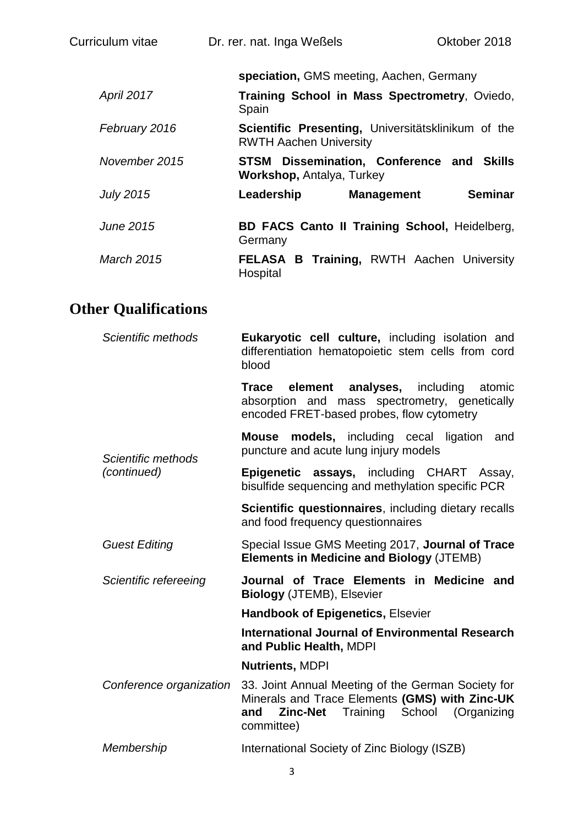| Curriculum vitae | Dr. rer. nat. Inga Weßels                                                           | Oktober 2018                         |
|------------------|-------------------------------------------------------------------------------------|--------------------------------------|
|                  | speciation, GMS meeting, Aachen, Germany                                            |                                      |
| April 2017       | Training School in Mass Spectrometry, Oviedo,<br>Spain                              |                                      |
| February 2016    | Scientific Presenting, Universitätsklinikum of the<br><b>RWTH Aachen University</b> |                                      |
| November 2015    | STSM<br><b>Workshop, Antalya, Turkey</b>                                            | Dissemination, Conference and Skills |
| <b>July 2015</b> | Leadership<br><b>Management</b>                                                     | <b>Seminar</b>                       |
| <b>June 2015</b> | <b>BD FACS Canto II Training School, Heidelberg,</b><br>Germany                     |                                      |
| March 2015       | <b>FELASA B Training, RWTH Aachen University</b><br>Hospital                        |                                      |

# **Other Qualifications**

| Scientific methods                | Eukaryotic cell culture, including isolation and<br>differentiation hematopoietic stem cells from cord<br>blood                                                                |
|-----------------------------------|--------------------------------------------------------------------------------------------------------------------------------------------------------------------------------|
|                                   | element analyses, including<br>atomic<br>Trace<br>absorption and mass spectrometry, genetically<br>encoded FRET-based probes, flow cytometry                                   |
| Scientific methods<br>(continued) | <b>models,</b> including cecal ligation<br><b>Mouse</b><br>and<br>puncture and acute lung injury models                                                                        |
|                                   | Epigenetic assays, including CHART Assay,<br>bisulfide sequencing and methylation specific PCR                                                                                 |
|                                   | Scientific questionnaires, including dietary recalls<br>and food frequency questionnaires                                                                                      |
| <b>Guest Editing</b>              | Special Issue GMS Meeting 2017, Journal of Trace<br><b>Elements in Medicine and Biology (JTEMB)</b>                                                                            |
| Scientific refereeing             | Journal of Trace Elements in Medicine and<br><b>Biology (JTEMB), Elsevier</b>                                                                                                  |
|                                   | <b>Handbook of Epigenetics, Elsevier</b>                                                                                                                                       |
|                                   | International Journal of Environmental Research<br>and Public Health, MDPI                                                                                                     |
|                                   | <b>Nutrients, MDPI</b>                                                                                                                                                         |
| Conference organization           | 33. Joint Annual Meeting of the German Society for<br>Minerals and Trace Elements (GMS) with Zinc-UK<br>Training<br>School (Organizing<br>and<br><b>Zinc-Net</b><br>committee) |
| Membership                        | International Society of Zinc Biology (ISZB)                                                                                                                                   |